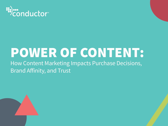

# POWER OF CONTENT:

How Content Marketing Impacts Purchase Decisions, Brand Affinity, and Trust

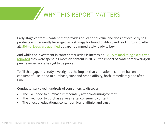# WHY THIS REPORT MATTERS

Early-stage content – content that provides educational value and does not explicitly sell products – is frequently leveraged as a strategy for brand building and lead nurturing. After all, [50% of leads are qualified](http://images.msgapp.com/uploads/95603/LicensedGleansights_comp7564jvl493sa/Gleansight%20-%20Lead%20Nurturing%20-%20Q42010%20-%20Licensed.pdf) but are not immediately ready to buy.

And while the investment in content marketing is increasing  $-87\%$  of marketing executives [reported](https://www.conductor.com/learning-center/marketing-and-technology-study-2017/) they were spending more on content in 2017 – the impact of content marketing on purchase decisions has yet to be proven.

To fill that gap, this study investigates the impact that educational content has on consumers' likelihood to purchase, trust and brand affinity, both immediately and after time.

Conductor surveyed hundreds of consumers to discover:

- The likelihood to purchase immediately after consuming content
- The likelihood to purchase a week after consuming content
- The effect of educational content on brand affinity and trust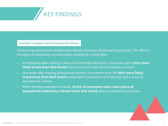

## **Content's Impact on Purchase Decisions**

Consuming educational content dramatically increases likelihood to purchase. The effect is strongest immediately, and decreases somewhat a week later.

- Immediately after reading a piece of content by the brand, consumers were **131% more likely to buy from that brand** than consumers who did not read any content.
- One week after reading educational content, consumers were still **48% more likely to purchase from that brand** compared to consumers who had not read a piece of educational content.
- When deciding between 4 brands, **83.6% of consumers who read a piece of educational content by a brand chose that brand** when prompted to purchase.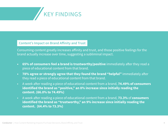

## **Content's Impact on Brand Affinity and Trust**

Consuming content greatly increases affinity and trust, and those positive feelings for the brand actually increase over time, suggesting a subliminal impact.

- **• 65% of consumers feel a brand is trustworthy/positive** immediately after they read a piece of educational content from that brand.
- **• 78% agree or strongly agree that they found the brand "helpful"** immediately after they read a piece of educational content from that brand.
- A week after reading a piece of educational content from a brand, **74.49% of consumers identified the brand as "positive," an 8% increase since initially reading the content. (66.0% to 74.49%)**
- A week after reading a piece of educational content from a brand, **73.3%** of **consumers identified the brand as "trustworthy," an 9% increase since initially reading the content. (64.4% to 73.3%)**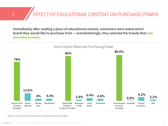**EFFECT OF EDUCATIONAL CONTENT ON PURCHASE POWER** I.

**Immediately after reading a piece of educational content, consumers were asked which brand they would like to purchase from — overwhelmingly, they selected the brands that had provided content.**



*Brands in green are the brands that provided educational content*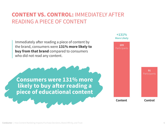# **CONTENT VS. CONTROL:** IMMEDIATELY AFTER READING A PIECE OF CONTENT

Immediately after reading a piece of content by the brand, consumers were **131% more likely to buy from that brand** compared to consumers who did not read any content.



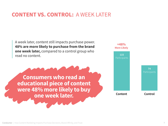## **CONTENT VS. CONTROL:** A WEEK LATER

A week later, content still impacts purchase power. **48% are more likely to purchase from the brand one week later,** compared to a control group who read no content.

**Consumers who read an educational piece of content were 48% more likely to buy one week later.**

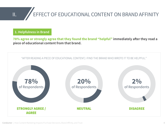

# II. EFFECT OF EDUCATIONAL CONTENT ON BRAND AFFINITY

**1. Helpfulness in Brand**

**78% agree or strongly agree that they found the brand "helpful" immediately after they read a piece of educational content from that brand.**

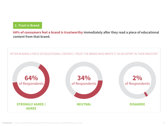### **2. Trust in Brand**

**64% of consumers feel a brand is trustworthy immediately after they read a piece of educational content from that brand.**

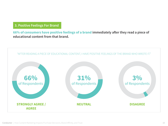## **3. Positive Feelings For Brand**

**66% of consumers have positive feelings of a brand immediately after they read a piece of educational content from that brand.**

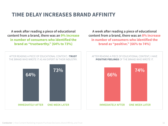## **TIME DELAY INCREASES BRAND AFFINITY**

**A week after reading a piece of educational content from a brand, there was an 9% increase in number of consumers who identified the brand as "trustworthy." (64% to 73%)**

**A week after reading a piece of educational content from a brand, there was an 8% increase in number of consumers who identified the brand as "positive." (66% to 74%)**

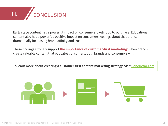

Early stage content has a powerful impact on consumers' likelihood to purchase. Educational content also has a powerful, positive impact on consumers feelings about that brand, dramatically increasing brand affinity and trust.

These findings strongly support **the importance of customer-first marketing:** when brands create valuable content that educates consumers, both brands and consumers win.

**To learn more about creating a customer-first content marketing strategy, visit [Conductor.com](http://www.conductor.com)**

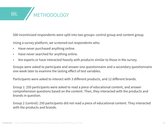

500 incentivized respondents were split into two groups: control group and content group.

Using a survey platform, we screened out respondents who:

- Have never purchased anything online.
- Have never searched for anything online.
- Are experts or have interacted heavily with products similar to those in the survey.

Groups were asked to participate and answer one questionnaire and a secondary questionnaire one week later to examine the lasting effect of test variables.

Participants were asked to interact with 3 different products, and 12 different brands.

Group 1: 250 participants were asked to read a piece of educational content, and answer comprehension questions based on the content. Then, they interacted with the products and brands in question.

Group 2 (control): 250 participants did not read a piece of educational content. They interacted with the products and brands.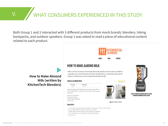# V. WHAT CONSUMERS EXPERIENCED IN THIS STUDY

Both Group 1 and 2 interacted with 3 different products from mock brands: blenders, hiking backpacks, and outdoor speakers. Group 1 was asked to read a piece of educational content related to each product.

> **How to Make Almond Milk (written by KitchenTech Blenders)**



## HOW TO MAKE ALMOND MILK

While we love the convenience of store-bought almond milk, sometimes it's fun to make it vourself! This recipe allows you to control the amount of sweetness and infuse flavors, as well as play around with the thickness. It will be your go-to when craving homemade dairy-free milk.

#### **VANILLA ALMOND MILK**



**IN PRINT FRIENDLY VERSION** 

the the the the the



SHOP KITCHENTECH BLENDERS AND GET STARTED ON MAKING HOMEMADE RECIPES TODAY!

#### Serves: 5 cups **Ingredients**

- . 1 cup (112 e) raw almonds, soaked overnight in cool water (or 1-2 hours in very hot water).
- . 5 cups (1200 ml) filtered water (less to thicken, more to thin)
- . 2 dates, pitted, or other sweetener of choice (omit for unsweetened)
- . I tap vanilla extract or one vanilla bean, scraped (omit for plain)
- · pinch sea salt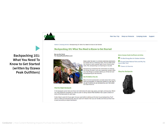

Plan Your Trip Shop our Products Camping Guide Support

**Backpacking 101: What You Need To Know to Get Started (written by Ozawa Peak Outfitters)** Home > Camping Articles > Backpacking 101: What You Need to Know to Get Started

#### Backpacking 101: What You Need to Know to Get Started

Sleep under the stars in a remote wilderness destination, fall asleep next to a babbling creek, and sip coffee while

the rising sun casts a golden light on your backcountry camp. Yes, backpacking is as inspiring as it sounds.

Backpacking is essentially the combination of camping and hiking, but even if you are a seasoned camper, there

are a few things to consider before you hit the trail and

Many first-time backpackers complain about their aching back and shoulders, or those darn blisters on their feet. If you get fit before you go backpacking, you'll feel better

go backpacking for the first time. Get Fit Before You Go

**By Jennifer Smith** For OzawaPeakOutfitters.com



#### Find the Right Backpack

In the backpack world, there are three main distinctions for sizes: day packs, overnight, and long haul. Which you need depends completely on what you plan on doing. Ozawa Peak Outfitters has a great rundown of some of the best packs for each type.

and have more fun.

It also helps to pack all of your gear into your pack before walking out the door to go backpacking. You'll want to make sure everything fits, that your pack isn't heavier than you can handle, and that you know how to pack according to weight distribution.

#### More Ozawa Peak Outfitters Articles

The Best Energy Bars for Outdoor Activities

to Least Visited National Parks and Why You Have to See Them

7 Scenic U.S. Summits

#### **Shop Our Backpacks**

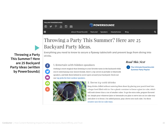

# Throwing a Party This Summer? Here are 25 Backyard Party Ideas.

Everything you need to know to secure a flyaway tablecloth and prevent bugs from diving into drinks.

### 1. Entertain with hidden speakers

### **Read This Next**

**The Ultimate PowerSoundz Summer Party Playlist** 

Nothing is more magical than listening to your favorite tunes in the backyard while you're entertaining your closest friends. Here's a tip: invest in portable or bluetooth speakers, and hide them behind in secret spots around your backyard. Check out our top picks for best outdoor speakers.



#### 2. Serve icy cold drinks

Keep drinks chilled without watering them down by placing your punch bowl into a larger bowl filled with ice. Use a plastic container to freeze a giant ice cube, which will melt slower than a ton of smaller cubes. To go the extra mile, prepare flavored ice. Simple pour whatever juice or lemonade you plan to serve into an ice cube tray and allow it to freeze. For added pizzazz, pop a berry into each cube. Try these creative uses for ice-cube trays.

**Throwing a Party This Summer? Here are 25 Backyard Party Ideas (written by PowerSoundz)**

 $\mathbf{f}$ 

O

 $\blacksquare$